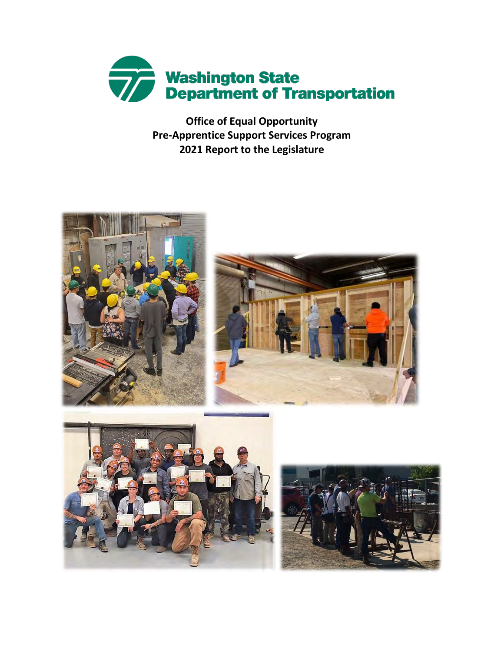

**Office of Equal Opportunity Pre-Apprentice Support Services Program 2021 Report to the Legislature**

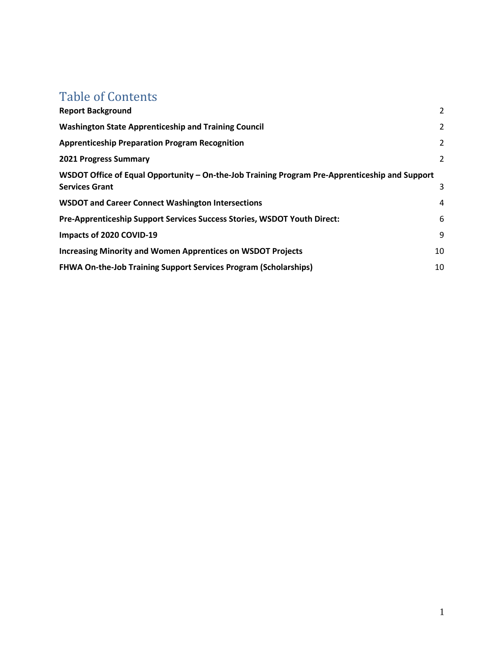## Table of Contents

| <b>Report Background</b>                                                                                                | 2  |
|-------------------------------------------------------------------------------------------------------------------------|----|
| <b>Washington State Apprenticeship and Training Council</b>                                                             | 2  |
| <b>Apprenticeship Preparation Program Recognition</b>                                                                   | 2  |
| <b>2021 Progress Summary</b>                                                                                            | 2  |
| WSDOT Office of Equal Opportunity – On-the-Job Training Program Pre-Apprenticeship and Support<br><b>Services Grant</b> | 3  |
| <b>WSDOT and Career Connect Washington Intersections</b>                                                                | 4  |
| Pre-Apprenticeship Support Services Success Stories, WSDOT Youth Direct:                                                | 6  |
| Impacts of 2020 COVID-19                                                                                                | 9  |
| <b>Increasing Minority and Women Apprentices on WSDOT Projects</b>                                                      | 10 |
| <b>FHWA On-the-Job Training Support Services Program (Scholarships)</b>                                                 | 10 |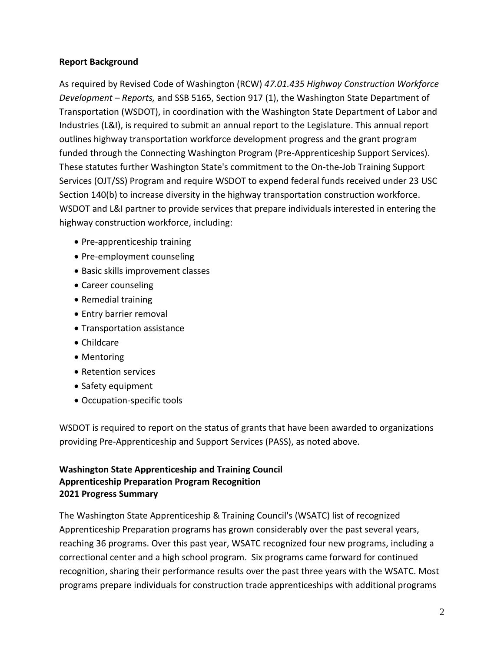### **Report Background**

As required by Revised Code of Washington (RCW) *47.01.435 Highway Construction Workforce Development – Reports,* and SSB 5165, Section 917 (1), the Washington State Department of Transportation (WSDOT), in coordination with the Washington State Department of Labor and Industries (L&I), is required to submit an annual report to the Legislature. This annual report outlines highway transportation workforce development progress and the grant program funded through the Connecting Washington Program (Pre-Apprenticeship Support Services). These statutes further Washington State's commitment to the On-the-Job Training Support Services (OJT/SS) Program and require WSDOT to expend federal funds received under 23 USC Section 140(b) to increase diversity in the highway transportation construction workforce. WSDOT and L&I partner to provide services that prepare individuals interested in entering the highway construction workforce, including:

- Pre-apprenticeship training
- Pre-employment counseling
- Basic skills improvement classes
- Career counseling
- Remedial training
- Entry barrier removal
- Transportation assistance
- Childcare
- Mentoring
- Retention services
- Safety equipment
- Occupation-specific tools

WSDOT is required to report on the status of grants that have been awarded to organizations providing Pre-Apprenticeship and Support Services (PASS), as noted above.

### **Washington State Apprenticeship and Training Council Apprenticeship Preparation Program Recognition 2021 Progress Summary**

The Washington State Apprenticeship & Training Council's (WSATC) list of recognized Apprenticeship Preparation programs has grown considerably over the past several years, reaching 36 programs. Over this past year, WSATC recognized four new programs, including a correctional center and a high school program. Six programs came forward for continued recognition, sharing their performance results over the past three years with the WSATC. Most programs prepare individuals for construction trade apprenticeships with additional programs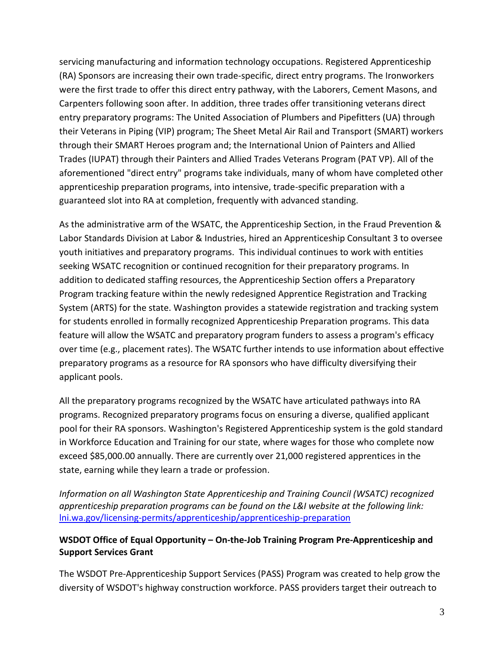servicing manufacturing and information technology occupations. Registered Apprenticeship (RA) Sponsors are increasing their own trade-specific, direct entry programs. The Ironworkers were the first trade to offer this direct entry pathway, with the Laborers, Cement Masons, and Carpenters following soon after. In addition, three trades offer transitioning veterans direct entry preparatory programs: The United Association of Plumbers and Pipefitters (UA) through their Veterans in Piping (VIP) program; The Sheet Metal Air Rail and Transport (SMART) workers through their SMART Heroes program and; the International Union of Painters and Allied Trades (IUPAT) through their Painters and Allied Trades Veterans Program (PAT VP). All of the aforementioned "direct entry" programs take individuals, many of whom have completed other apprenticeship preparation programs, into intensive, trade-specific preparation with a guaranteed slot into RA at completion, frequently with advanced standing.

As the administrative arm of the WSATC, the Apprenticeship Section, in the Fraud Prevention & Labor Standards Division at Labor & Industries, hired an Apprenticeship Consultant 3 to oversee youth initiatives and preparatory programs. This individual continues to work with entities seeking WSATC recognition or continued recognition for their preparatory programs. In addition to dedicated staffing resources, the Apprenticeship Section offers a Preparatory Program tracking feature within the newly redesigned Apprentice Registration and Tracking System (ARTS) for the state. Washington provides a statewide registration and tracking system for students enrolled in formally recognized Apprenticeship Preparation programs. This data feature will allow the WSATC and preparatory program funders to assess a program's efficacy over time (e.g., placement rates). The WSATC further intends to use information about effective preparatory programs as a resource for RA sponsors who have difficulty diversifying their applicant pools.

All the preparatory programs recognized by the WSATC have articulated pathways into RA programs. Recognized preparatory programs focus on ensuring a diverse, qualified applicant pool for their RA sponsors. Washington's Registered Apprenticeship system is the gold standard in Workforce Education and Training for our state, where wages for those who complete now exceed \$85,000.00 annually. There are currently over 21,000 registered apprentices in the state, earning while they learn a trade or profession.

*Information on all Washington State Apprenticeship and Training Council (WSATC) recognized apprenticeship preparation programs can be found on the L&I website at the following link:* [lni.wa.gov/licensing-permits/apprenticeship/apprenticeship-preparation](https://lni.wa.gov/licensing-permits/apprenticeship/apprenticeship-preparation)

### **WSDOT Office of Equal Opportunity – On-the-Job Training Program Pre-Apprenticeship and Support Services Grant**

The WSDOT Pre-Apprenticeship Support Services (PASS) Program was created to help grow the diversity of WSDOT's highway construction workforce. PASS providers target their outreach to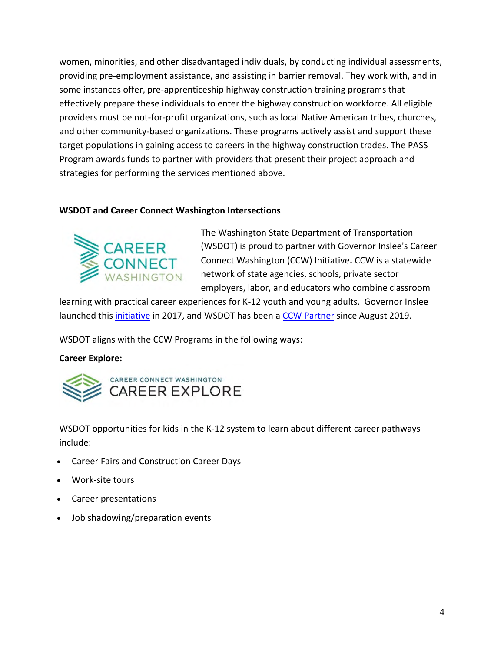women, minorities, and other disadvantaged individuals, by conducting individual assessments, providing pre-employment assistance, and assisting in barrier removal. They work with, and in some instances offer, pre-apprenticeship highway construction training programs that effectively prepare these individuals to enter the highway construction workforce. All eligible providers must be not-for-profit organizations, such as local Native American tribes, churches, and other community-based organizations. These programs actively assist and support these target populations in gaining access to careers in the highway construction trades. The PASS Program awards funds to partner with providers that present their project approach and strategies for performing the services mentioned above.

### **WSDOT and Career Connect Washington Intersections**



The Washington State Department of Transportation (WSDOT) is proud to partner with Governor Inslee's Career Connect Washington (CCW) Initiative**.** CCW is a statewide network of state agencies, schools, private sector employers, labor, and educators who combine classroom

learning with practical career experiences for K-12 youth and young adults. Governor Inslee launched this [initiative](https://www.governor.wa.gov/news-media/inslee-and-reykdal-announce-careerconnecthome-provide-students-career-connected-learning) in 2017, and WSDOT has been a [CCW Partner](https://careerconnectwa.org/partners/) since August 2019.

WSDOT aligns with the CCW Programs in the following ways:

### **Career Explore:**



WSDOT opportunities for kids in the K-12 system to learn about different career pathways include:

- Career Fairs and Construction Career Days
- Work-site tours
- Career presentations
- Job shadowing/preparation events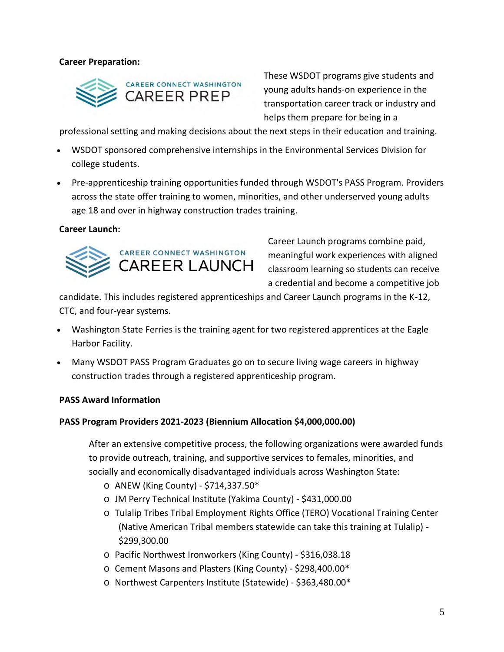### **Career Preparation:**



These WSDOT programs give students and young adults hands-on experience in the transportation career track or industry and helps them prepare for being in a

professional setting and making decisions about the next steps in their education and training.

- WSDOT sponsored comprehensive internships in the Environmental Services Division for college students.
- Pre-apprenticeship training opportunities funded through WSDOT's PASS Program. Providers across the state offer training to women, minorities, and other underserved young adults age 18 and over in highway construction trades training.

#### **Career Launch:**



Career Launch programs combine paid, meaningful work experiences with aligned classroom learning so students can receive a credential and become a competitive job

candidate. This includes registered apprenticeships and Career Launch programs in the K-12, CTC, and four-year systems.

- Washington State Ferries is the training agent for two registered apprentices at the Eagle Harbor Facility.
- Many WSDOT PASS Program Graduates go on to secure living wage careers in highway construction trades through a registered apprenticeship program.

### **PASS Award Information**

### **PASS Program Providers 2021-2023 (Biennium Allocation \$4,000,000.00)**

After an extensive competitive process, the following organizations were awarded funds to provide outreach, training, and supportive services to females, minorities, and socially and economically disadvantaged individuals across Washington State:

- $\circ$  ANEW (King County) \$714,337.50\*
- o JM Perry Technical Institute (Yakima County) \$431,000.00
- o Tulalip Tribes Tribal Employment Rights Office (TERO) Vocational Training Center (Native American Tribal members statewide can take this training at Tulalip) - \$299,300.00
- o Pacific Northwest Ironworkers (King County) \$316,038.18
- o Cement Masons and Plasters (King County) \$298,400.00\*
- o Northwest Carpenters Institute (Statewide) \$363,480.00\*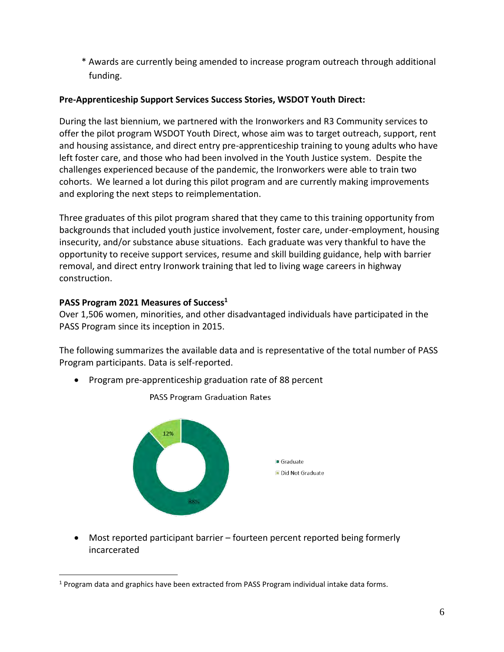\* Awards are currently being amended to increase program outreach through additional funding.

### **Pre-Apprenticeship Support Services Success Stories, WSDOT Youth Direct:**

During the last biennium, we partnered with the Ironworkers and R3 Community services to offer the pilot program WSDOT Youth Direct, whose aim was to target outreach, support, rent and housing assistance, and direct entry pre-apprenticeship training to young adults who have left foster care, and those who had been involved in the Youth Justice system. Despite the challenges experienced because of the pandemic, the Ironworkers were able to train two cohorts. We learned a lot during this pilot program and are currently making improvements and exploring the next steps to reimplementation.

Three graduates of this pilot program shared that they came to this training opportunity from backgrounds that included youth justice involvement, foster care, under-employment, housing insecurity, and/or substance abuse situations. Each graduate was very thankful to have the opportunity to receive support services, resume and skill building guidance, help with barrier removal, and direct entry Ironwork training that led to living wage careers in highway construction.

### **PASS Program 2021 Measures of Success<sup>1</sup>**

Over 1,506 women, minorities, and other disadvantaged individuals have participated in the PASS Program since its inception in 2015.

The following summarizes the available data and is representative of the total number of PASS Program participants. Data is self-reported.

• Program pre-apprenticeship graduation rate of 88 percent



PASS Program Graduation Rates

• Most reported participant barrier – fourteen percent reported being formerly incarcerated

<sup>&</sup>lt;sup>1</sup> Program data and graphics have been extracted from PASS Program individual intake data forms.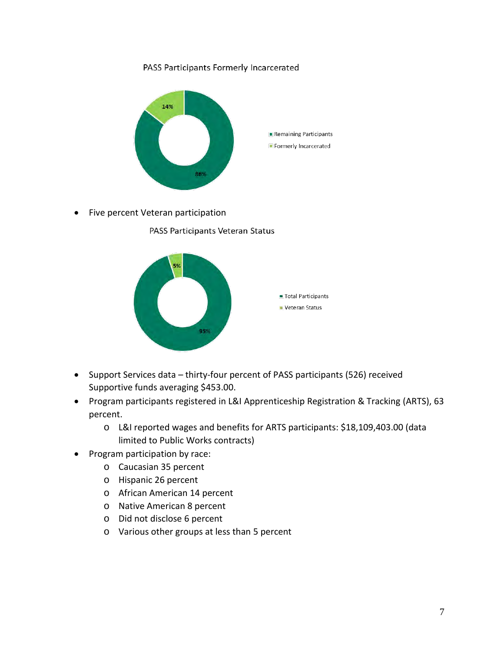### PASS Participants Formerly Incarcerated



• Five percent Veteran participation

PASS Participants Veteran Status



- Support Services data thirty-four percent of PASS participants (526) received Supportive funds averaging \$453.00.
- Program participants registered in L&I Apprenticeship Registration & Tracking (ARTS), 63 percent.
	- o L&I reported wages and benefits for ARTS participants: \$18,109,403.00 (data limited to Public Works contracts)
- Program participation by race:
	- o Caucasian 35 percent
	- o Hispanic 26 percent
	- o African American 14 percent
	- o Native American 8 percent
	- o Did not disclose 6 percent
	- o Various other groups at less than 5 percent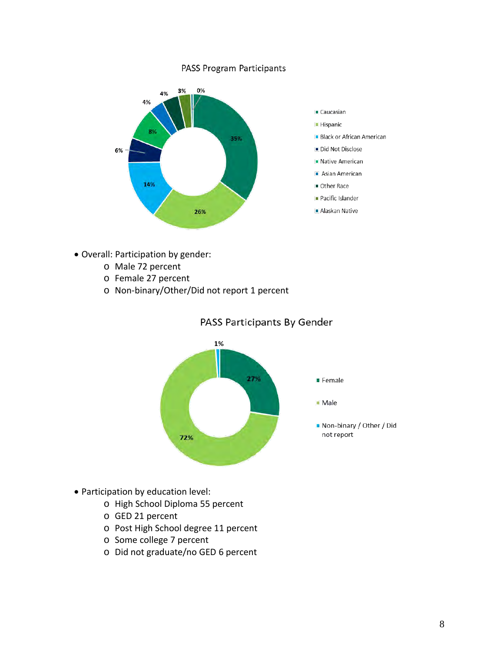#### PASS Program Participants



- Overall: Participation by gender:
	- o Male 72 percent
	- o Female 27 percent
	- o Non-binary/Other/Did not report 1 percent



PASS Participants By Gender

- Participation by education level:
	- o High School Diploma 55 percent
	- o GED 21 percent
	- o Post High School degree 11 percent
	- o Some college 7 percent
	- o Did not graduate/no GED 6 percent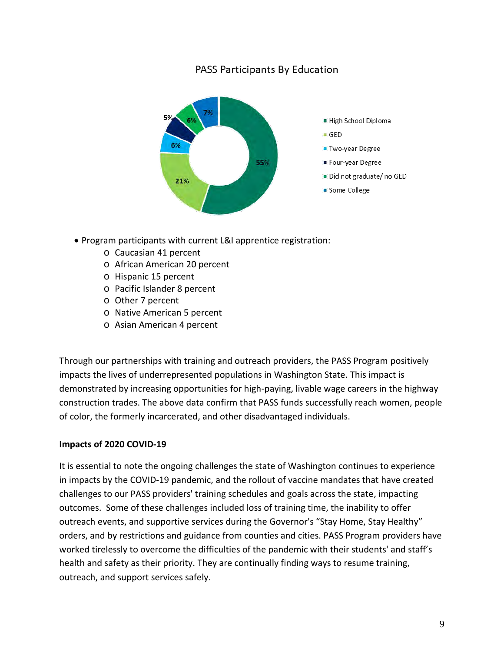### PASS Participants By Education



- Program participants with current L&I apprentice registration:
	- o Caucasian 41 percent
	- o African American 20 percent
	- o Hispanic 15 percent
	- o Pacific Islander 8 percent
	- o Other 7 percent
	- o Native American 5 percent
	- o Asian American 4 percent

Through our partnerships with training and outreach providers, the PASS Program positively impacts the lives of underrepresented populations in Washington State. This impact is demonstrated by increasing opportunities for high-paying, livable wage careers in the highway construction trades. The above data confirm that PASS funds successfully reach women, people of color, the formerly incarcerated, and other disadvantaged individuals.

### **Impacts of 2020 COVID-19**

It is essential to note the ongoing challenges the state of Washington continues to experience in impacts by the COVID-19 pandemic, and the rollout of vaccine mandates that have created challenges to our PASS providers' training schedules and goals across the state, impacting outcomes. Some of these challenges included loss of training time, the inability to offer outreach events, and supportive services during the Governor's "Stay Home, Stay Healthy" orders, and by restrictions and guidance from counties and cities. PASS Program providers have worked tirelessly to overcome the difficulties of the pandemic with their students' and staff's health and safety as their priority. They are continually finding ways to resume training, outreach, and support services safely.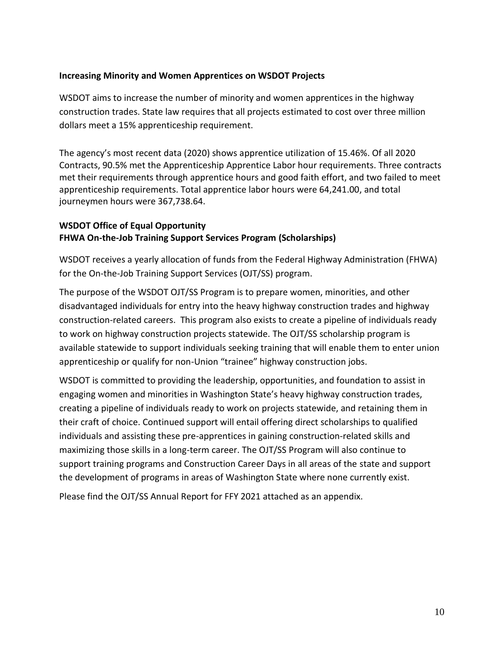### **Increasing Minority and Women Apprentices on WSDOT Projects**

WSDOT aims to increase the number of minority and women apprentices in the highway construction trades. State law requires that all projects estimated to cost over three million dollars meet a 15% apprenticeship requirement.

The agency's most recent data (2020) shows apprentice utilization of 15.46%. Of all 2020 Contracts, 90.5% met the Apprenticeship Apprentice Labor hour requirements. Three contracts met their requirements through apprentice hours and good faith effort, and two failed to meet apprenticeship requirements. Total apprentice labor hours were 64,241.00, and total journeymen hours were 367,738.64.

### **WSDOT Office of Equal Opportunity FHWA On-the-Job Training Support Services Program (Scholarships)**

WSDOT receives a yearly allocation of funds from the Federal Highway Administration (FHWA) for the On-the-Job Training Support Services (OJT/SS) program.

The purpose of the WSDOT OJT/SS Program is to prepare women, minorities, and other disadvantaged individuals for entry into the heavy highway construction trades and highway construction-related careers. This program also exists to create a pipeline of individuals ready to work on highway construction projects statewide. The OJT/SS scholarship program is available statewide to support individuals seeking training that will enable them to enter union apprenticeship or qualify for non-Union "trainee" highway construction jobs.

WSDOT is committed to providing the leadership, opportunities, and foundation to assist in engaging women and minorities in Washington State's heavy highway construction trades, creating a pipeline of individuals ready to work on projects statewide, and retaining them in their craft of choice. Continued support will entail offering direct scholarships to qualified individuals and assisting these pre-apprentices in gaining construction-related skills and maximizing those skills in a long-term career. The OJT/SS Program will also continue to support training programs and Construction Career Days in all areas of the state and support the development of programs in areas of Washington State where none currently exist.

Please find the OJT/SS Annual Report for FFY 2021 attached as an appendix.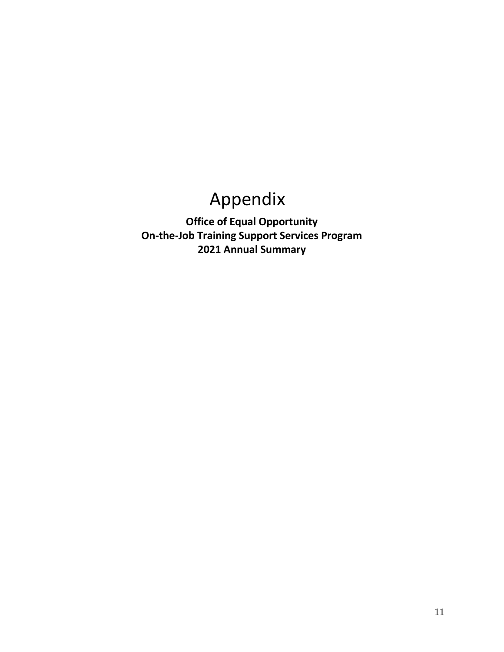# Appendix

**Office of Equal Opportunity On-the-Job Training Support Services Program 2021 Annual Summary**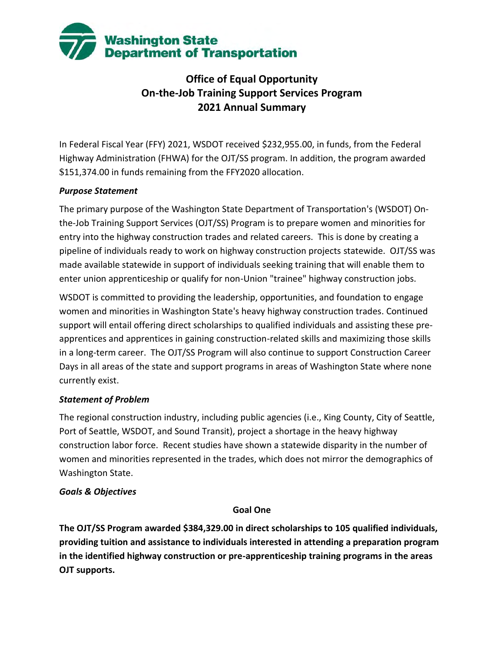

### **Office of Equal Opportunity On-the-Job Training Support Services Program 2021 Annual Summary**

In Federal Fiscal Year (FFY) 2021, WSDOT received \$232,955.00, in funds, from the Federal Highway Administration (FHWA) for the OJT/SS program. In addition, the program awarded \$151,374.00 in funds remaining from the FFY2020 allocation.

### *Purpose Statement*

The primary purpose of the Washington State Department of Transportation's (WSDOT) Onthe-Job Training Support Services (OJT/SS) Program is to prepare women and minorities for entry into the highway construction trades and related careers. This is done by creating a pipeline of individuals ready to work on highway construction projects statewide. OJT/SS was made available statewide in support of individuals seeking training that will enable them to enter union apprenticeship or qualify for non-Union "trainee" highway construction jobs.

WSDOT is committed to providing the leadership, opportunities, and foundation to engage women and minorities in Washington State's heavy highway construction trades. Continued support will entail offering direct scholarships to qualified individuals and assisting these preapprentices and apprentices in gaining construction-related skills and maximizing those skills in a long-term career. The OJT/SS Program will also continue to support Construction Career Days in all areas of the state and support programs in areas of Washington State where none currently exist.

### *Statement of Problem*

The regional construction industry, including public agencies (i.e., King County, City of Seattle, Port of Seattle, WSDOT, and Sound Transit), project a shortage in the heavy highway construction labor force. Recent studies have shown a statewide disparity in the number of women and minorities represented in the trades, which does not mirror the demographics of Washington State.

### *Goals & Objectives*

### **Goal One**

**The OJT/SS Program awarded \$384,329.00 in direct scholarships to 105 qualified individuals, providing tuition and assistance to individuals interested in attending a preparation program in the identified highway construction or pre-apprenticeship training programs in the areas OJT supports.**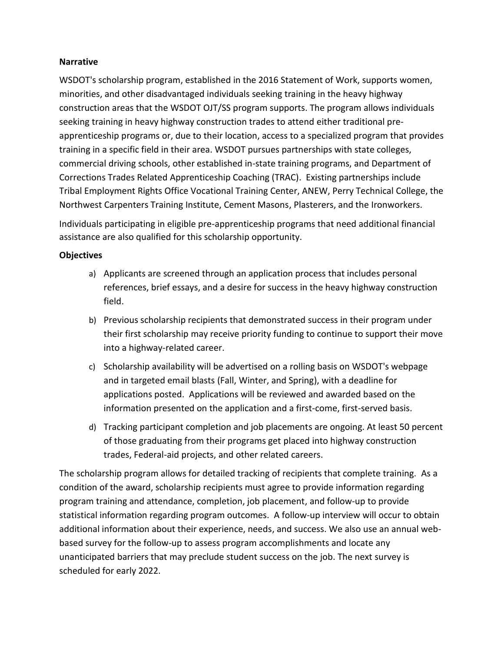### **Narrative**

WSDOT's scholarship program, established in the 2016 Statement of Work, supports women, minorities, and other disadvantaged individuals seeking training in the heavy highway construction areas that the WSDOT OJT/SS program supports. The program allows individuals seeking training in heavy highway construction trades to attend either traditional preapprenticeship programs or, due to their location, access to a specialized program that provides training in a specific field in their area. WSDOT pursues partnerships with state colleges, commercial driving schools, other established in-state training programs, and Department of Corrections Trades Related Apprenticeship Coaching (TRAC). Existing partnerships include Tribal Employment Rights Office Vocational Training Center, ANEW, Perry Technical College, the Northwest Carpenters Training Institute, Cement Masons, Plasterers, and the Ironworkers.

Individuals participating in eligible pre-apprenticeship programs that need additional financial assistance are also qualified for this scholarship opportunity.

### **Objectives**

- a) Applicants are screened through an application process that includes personal references, brief essays, and a desire for success in the heavy highway construction field.
- b) Previous scholarship recipients that demonstrated success in their program under their first scholarship may receive priority funding to continue to support their move into a highway-related career.
- c) Scholarship availability will be advertised on a rolling basis on WSDOT's webpage and in targeted email blasts (Fall, Winter, and Spring), with a deadline for applications posted. Applications will be reviewed and awarded based on the information presented on the application and a first-come, first-served basis.
- d) Tracking participant completion and job placements are ongoing. At least 50 percent of those graduating from their programs get placed into highway construction trades, Federal-aid projects, and other related careers.

The scholarship program allows for detailed tracking of recipients that complete training. As a condition of the award, scholarship recipients must agree to provide information regarding program training and attendance, completion, job placement, and follow-up to provide statistical information regarding program outcomes. A follow-up interview will occur to obtain additional information about their experience, needs, and success. We also use an annual webbased survey for the follow-up to assess program accomplishments and locate any unanticipated barriers that may preclude student success on the job. The next survey is scheduled for early 2022.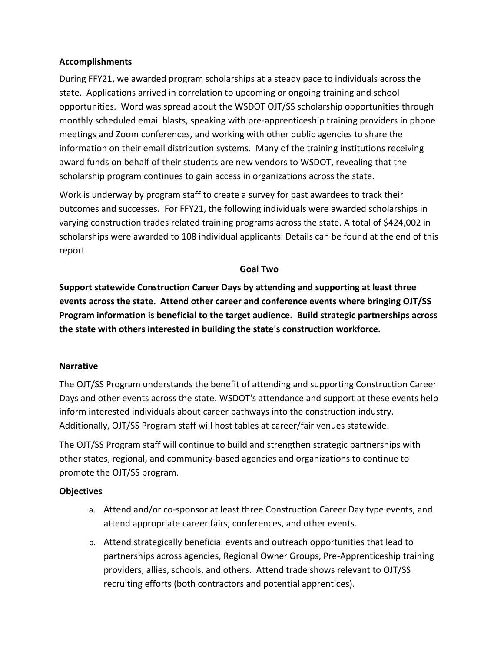### **Accomplishments**

During FFY21, we awarded program scholarships at a steady pace to individuals across the state. Applications arrived in correlation to upcoming or ongoing training and school opportunities. Word was spread about the WSDOT OJT/SS scholarship opportunities through monthly scheduled email blasts, speaking with pre-apprenticeship training providers in phone meetings and Zoom conferences, and working with other public agencies to share the information on their email distribution systems. Many of the training institutions receiving award funds on behalf of their students are new vendors to WSDOT, revealing that the scholarship program continues to gain access in organizations across the state.

Work is underway by program staff to create a survey for past awardees to track their outcomes and successes. For FFY21, the following individuals were awarded scholarships in varying construction trades related training programs across the state. A total of \$424,002 in scholarships were awarded to 108 individual applicants. Details can be found at the end of this report.

### **Goal Two**

**Support statewide Construction Career Days by attending and supporting at least three events across the state. Attend other career and conference events where bringing OJT/SS Program information is beneficial to the target audience. Build strategic partnerships across the state with others interested in building the state's construction workforce.**

### **Narrative**

The OJT/SS Program understands the benefit of attending and supporting Construction Career Days and other events across the state. WSDOT's attendance and support at these events help inform interested individuals about career pathways into the construction industry. Additionally, OJT/SS Program staff will host tables at career/fair venues statewide.

The OJT/SS Program staff will continue to build and strengthen strategic partnerships with other states, regional, and community-based agencies and organizations to continue to promote the OJT/SS program.

### **Objectives**

- a. Attend and/or co-sponsor at least three Construction Career Day type events, and attend appropriate career fairs, conferences, and other events.
- b. Attend strategically beneficial events and outreach opportunities that lead to partnerships across agencies, Regional Owner Groups, Pre-Apprenticeship training providers, allies, schools, and others. Attend trade shows relevant to OJT/SS recruiting efforts (both contractors and potential apprentices).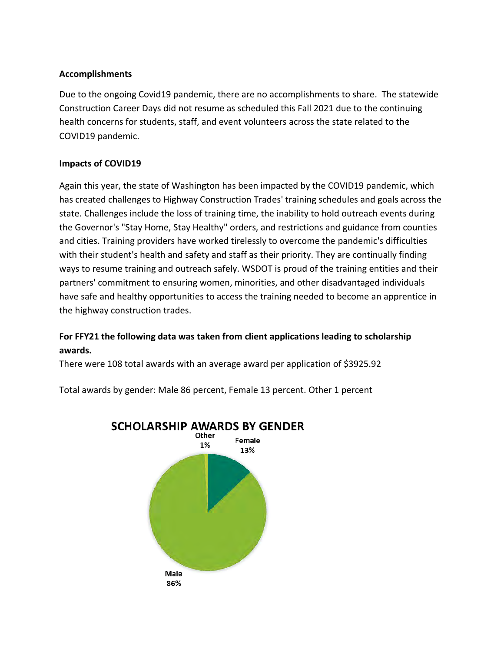### **Accomplishments**

Due to the ongoing Covid19 pandemic, there are no accomplishments to share. The statewide Construction Career Days did not resume as scheduled this Fall 2021 due to the continuing health concerns for students, staff, and event volunteers across the state related to the COVID19 pandemic.

### **Impacts of COVID19**

Again this year, the state of Washington has been impacted by the COVID19 pandemic, which has created challenges to Highway Construction Trades' training schedules and goals across the state. Challenges include the loss of training time, the inability to hold outreach events during the Governor's "Stay Home, Stay Healthy" orders, and restrictions and guidance from counties and cities. Training providers have worked tirelessly to overcome the pandemic's difficulties with their student's health and safety and staff as their priority. They are continually finding ways to resume training and outreach safely. WSDOT is proud of the training entities and their partners' commitment to ensuring women, minorities, and other disadvantaged individuals have safe and healthy opportunities to access the training needed to become an apprentice in the highway construction trades.

### **For FFY21 the following data was taken from client applications leading to scholarship awards.**

There were 108 total awards with an average award per application of \$3925.92

Total awards by gender: Male 86 percent, Female 13 percent. Other 1 percent



**SCHOLARSHIP AWARDS BY GENDER**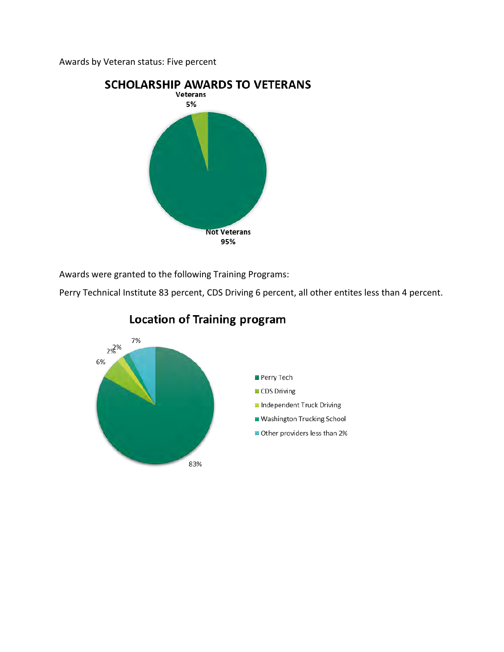Awards by Veteran status: Five percent



Awards were granted to the following Training Programs:

Perry Technical Institute 83 percent, CDS Driving 6 percent, all other entites less than 4 percent.



### **Location of Training program**